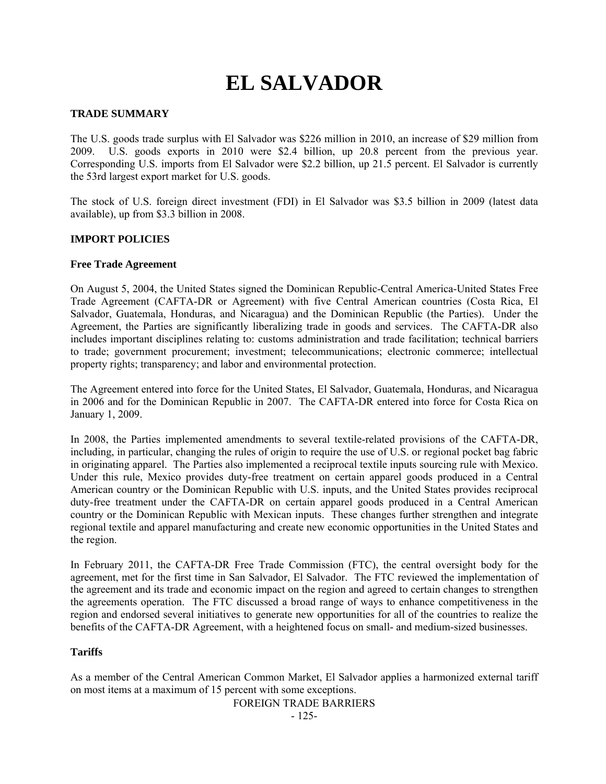# **EL SALVADOR**

# **TRADE SUMMARY**

The U.S. goods trade surplus with El Salvador was \$226 million in 2010, an increase of \$29 million from 2009. U.S. goods exports in 2010 were \$2.4 billion, up 20.8 percent from the previous year. Corresponding U.S. imports from El Salvador were \$2.2 billion, up 21.5 percent. El Salvador is currently the 53rd largest export market for U.S. goods.

The stock of U.S. foreign direct investment (FDI) in El Salvador was \$3.5 billion in 2009 (latest data available), up from \$3.3 billion in 2008.

### **IMPORT POLICIES**

#### **Free Trade Agreement**

On August 5, 2004, the United States signed the Dominican Republic-Central America-United States Free Trade Agreement (CAFTA-DR or Agreement) with five Central American countries (Costa Rica, El Salvador, Guatemala, Honduras, and Nicaragua) and the Dominican Republic (the Parties). Under the Agreement, the Parties are significantly liberalizing trade in goods and services. The CAFTA-DR also includes important disciplines relating to: customs administration and trade facilitation; technical barriers to trade; government procurement; investment; telecommunications; electronic commerce; intellectual property rights; transparency; and labor and environmental protection.

The Agreement entered into force for the United States, El Salvador, Guatemala, Honduras, and Nicaragua in 2006 and for the Dominican Republic in 2007. The CAFTA-DR entered into force for Costa Rica on January 1, 2009.

In 2008, the Parties implemented amendments to several textile-related provisions of the CAFTA-DR, including, in particular, changing the rules of origin to require the use of U.S. or regional pocket bag fabric in originating apparel. The Parties also implemented a reciprocal textile inputs sourcing rule with Mexico. Under this rule, Mexico provides duty-free treatment on certain apparel goods produced in a Central American country or the Dominican Republic with U.S. inputs, and the United States provides reciprocal duty-free treatment under the CAFTA-DR on certain apparel goods produced in a Central American country or the Dominican Republic with Mexican inputs. These changes further strengthen and integrate regional textile and apparel manufacturing and create new economic opportunities in the United States and the region.

In February 2011, the CAFTA-DR Free Trade Commission (FTC), the central oversight body for the agreement, met for the first time in San Salvador, El Salvador. The FTC reviewed the implementation of the agreement and its trade and economic impact on the region and agreed to certain changes to strengthen the agreements operation. The FTC discussed a broad range of ways to enhance competitiveness in the region and endorsed several initiatives to generate new opportunities for all of the countries to realize the benefits of the CAFTA-DR Agreement, with a heightened focus on small- and medium-sized businesses.

### **Tariffs**

As a member of the Central American Common Market, El Salvador applies a harmonized external tariff on most items at a maximum of 15 percent with some exceptions.

FOREIGN TRADE BARRIERS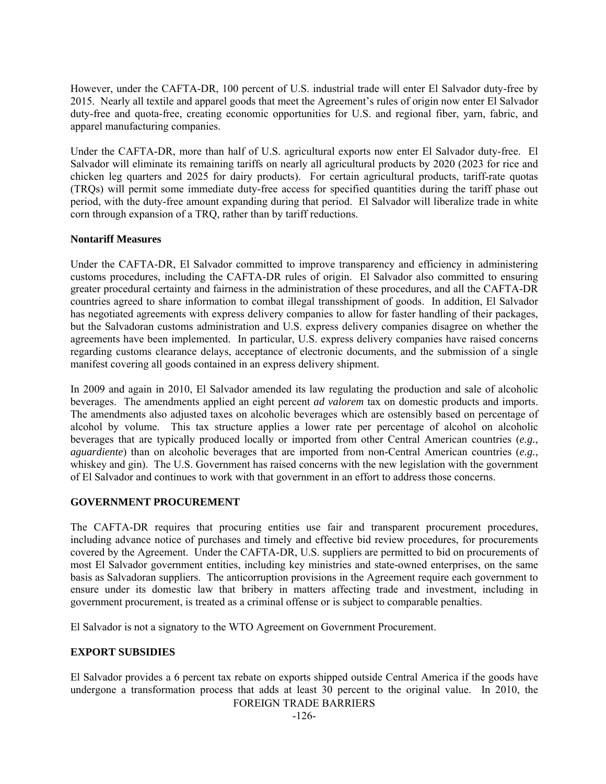However, under the CAFTA-DR, 100 percent of U.S. industrial trade will enter El Salvador duty-free by 2015. Nearly all textile and apparel goods that meet the Agreement's rules of origin now enter El Salvador duty-free and quota-free, creating economic opportunities for U.S. and regional fiber, yarn, fabric, and apparel manufacturing companies.

Under the CAFTA-DR, more than half of U.S. agricultural exports now enter El Salvador duty-free. El Salvador will eliminate its remaining tariffs on nearly all agricultural products by 2020 (2023 for rice and chicken leg quarters and 2025 for dairy products). For certain agricultural products, tariff-rate quotas (TRQs) will permit some immediate duty-free access for specified quantities during the tariff phase out period, with the duty-free amount expanding during that period. El Salvador will liberalize trade in white corn through expansion of a TRQ, rather than by tariff reductions.

# **Nontariff Measures**

Under the CAFTA-DR, El Salvador committed to improve transparency and efficiency in administering customs procedures, including the CAFTA-DR rules of origin. El Salvador also committed to ensuring greater procedural certainty and fairness in the administration of these procedures, and all the CAFTA-DR countries agreed to share information to combat illegal transshipment of goods. In addition, El Salvador has negotiated agreements with express delivery companies to allow for faster handling of their packages, but the Salvadoran customs administration and U.S. express delivery companies disagree on whether the agreements have been implemented. In particular, U.S. express delivery companies have raised concerns regarding customs clearance delays, acceptance of electronic documents, and the submission of a single manifest covering all goods contained in an express delivery shipment.

In 2009 and again in 2010, El Salvador amended its law regulating the production and sale of alcoholic beverages. The amendments applied an eight percent *ad valorem* tax on domestic products and imports. The amendments also adjusted taxes on alcoholic beverages which are ostensibly based on percentage of alcohol by volume. This tax structure applies a lower rate per percentage of alcohol on alcoholic beverages that are typically produced locally or imported from other Central American countries (*e.g.*, *aguardiente*) than on alcoholic beverages that are imported from non-Central American countries (*e.g.*, whiskey and gin). The U.S. Government has raised concerns with the new legislation with the government of El Salvador and continues to work with that government in an effort to address those concerns.

# **GOVERNMENT PROCUREMENT**

The CAFTA-DR requires that procuring entities use fair and transparent procurement procedures, including advance notice of purchases and timely and effective bid review procedures, for procurements covered by the Agreement. Under the CAFTA-DR, U.S. suppliers are permitted to bid on procurements of most El Salvador government entities, including key ministries and state-owned enterprises, on the same basis as Salvadoran suppliers. The anticorruption provisions in the Agreement require each government to ensure under its domestic law that bribery in matters affecting trade and investment, including in government procurement, is treated as a criminal offense or is subject to comparable penalties.

El Salvador is not a signatory to the WTO Agreement on Government Procurement.

# **EXPORT SUBSIDIES**

FOREIGN TRADE BARRIERS El Salvador provides a 6 percent tax rebate on exports shipped outside Central America if the goods have undergone a transformation process that adds at least 30 percent to the original value. In 2010, the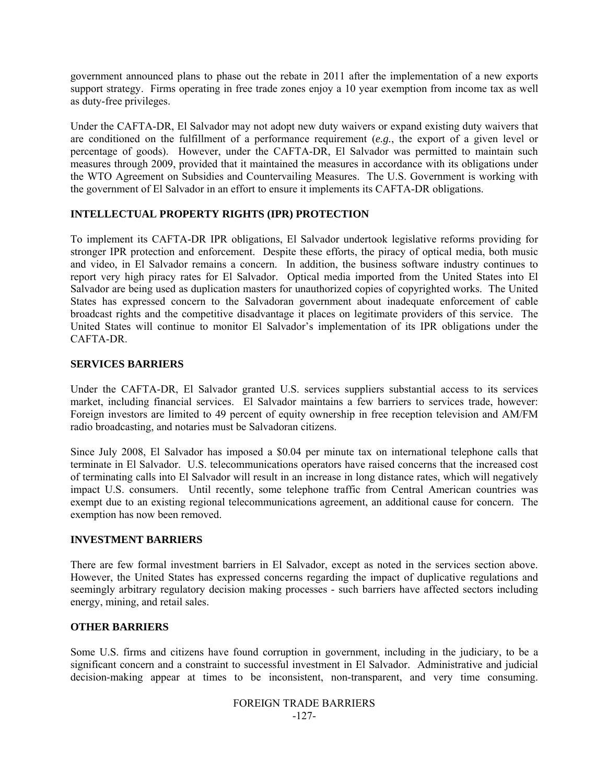government announced plans to phase out the rebate in 2011 after the implementation of a new exports support strategy. Firms operating in free trade zones enjoy a 10 year exemption from income tax as well as duty-free privileges.

Under the CAFTA-DR, El Salvador may not adopt new duty waivers or expand existing duty waivers that are conditioned on the fulfillment of a performance requirement (*e.g.*, the export of a given level or percentage of goods). However, under the CAFTA-DR, El Salvador was permitted to maintain such measures through 2009, provided that it maintained the measures in accordance with its obligations under the WTO Agreement on Subsidies and Countervailing Measures. The U.S. Government is working with the government of El Salvador in an effort to ensure it implements its CAFTA-DR obligations.

# **INTELLECTUAL PROPERTY RIGHTS (IPR) PROTECTION**

To implement its CAFTA-DR IPR obligations, El Salvador undertook legislative reforms providing for stronger IPR protection and enforcement. Despite these efforts, the piracy of optical media, both music and video, in El Salvador remains a concern. In addition, the business software industry continues to report very high piracy rates for El Salvador. Optical media imported from the United States into El Salvador are being used as duplication masters for unauthorized copies of copyrighted works. The United States has expressed concern to the Salvadoran government about inadequate enforcement of cable broadcast rights and the competitive disadvantage it places on legitimate providers of this service. The United States will continue to monitor El Salvador's implementation of its IPR obligations under the CAFTA-DR.

# **SERVICES BARRIERS**

Under the CAFTA-DR, El Salvador granted U.S. services suppliers substantial access to its services market, including financial services. El Salvador maintains a few barriers to services trade, however: Foreign investors are limited to 49 percent of equity ownership in free reception television and AM/FM radio broadcasting, and notaries must be Salvadoran citizens.

Since July 2008, El Salvador has imposed a \$0.04 per minute tax on international telephone calls that terminate in El Salvador. U.S. telecommunications operators have raised concerns that the increased cost of terminating calls into El Salvador will result in an increase in long distance rates, which will negatively impact U.S. consumers. Until recently, some telephone traffic from Central American countries was exempt due to an existing regional telecommunications agreement, an additional cause for concern. The exemption has now been removed.

# **INVESTMENT BARRIERS**

There are few formal investment barriers in El Salvador, except as noted in the services section above. However, the United States has expressed concerns regarding the impact of duplicative regulations and seemingly arbitrary regulatory decision making processes - such barriers have affected sectors including energy, mining, and retail sales.

# **OTHER BARRIERS**

Some U.S. firms and citizens have found corruption in government, including in the judiciary, to be a significant concern and a constraint to successful investment in El Salvador. Administrative and judicial decision-making appear at times to be inconsistent, non-transparent, and very time consuming.